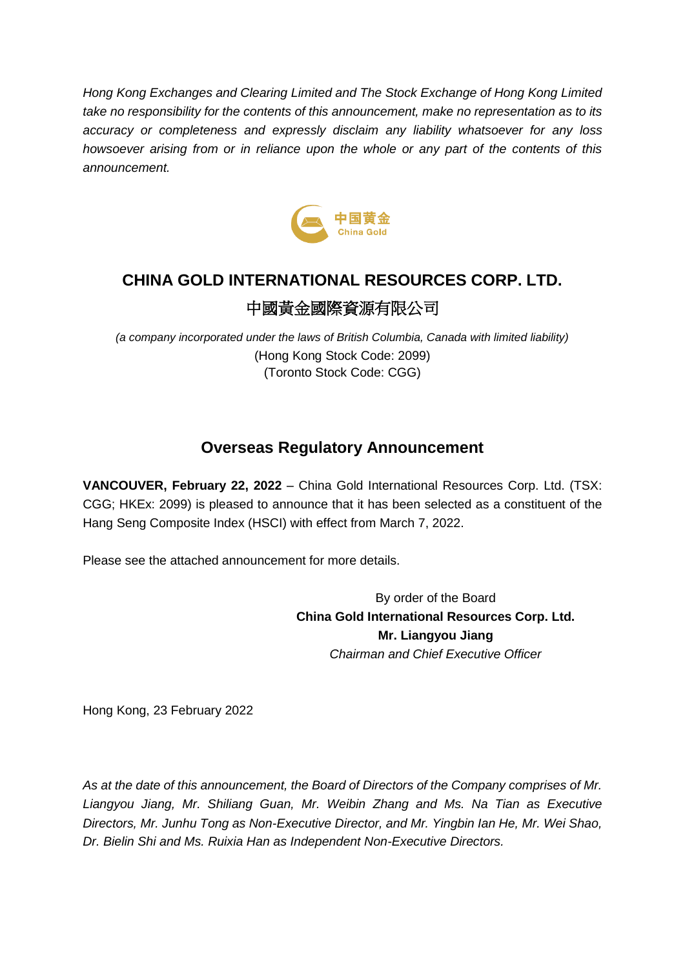*Hong Kong Exchanges and Clearing Limited and The Stock Exchange of Hong Kong Limited take no responsibility for the contents of this announcement, make no representation as to its accuracy or completeness and expressly disclaim any liability whatsoever for any loss howsoever arising from or in reliance upon the whole or any part of the contents of this announcement.*



# **CHINA GOLD INTERNATIONAL RESOURCES CORP. LTD.** 中國黃金國際資源有限公司

*(a company incorporated under the laws of British Columbia, Canada with limited liability)* (Hong Kong Stock Code: 2099) (Toronto Stock Code: CGG)

## **Overseas Regulatory Announcement**

**VANCOUVER, February 22, 2022** – China Gold International Resources Corp. Ltd. (TSX: CGG; HKEx: 2099) is pleased to announce that it has been selected as a constituent of the Hang Seng Composite Index (HSCI) with effect from March 7, 2022.

Please see the attached announcement for more details.

By order of the Board **China Gold International Resources Corp. Ltd. Mr. Liangyou Jiang** *Chairman and Chief Executive Officer*

Hong Kong, 23 February 2022

*As at the date of this announcement, the Board of Directors of the Company comprises of Mr. Liangyou Jiang, Mr. Shiliang Guan, Mr. Weibin Zhang and Ms. Na Tian as Executive Directors, Mr. Junhu Tong as Non-Executive Director, and Mr. Yingbin Ian He, Mr. Wei Shao, Dr. Bielin Shi and Ms. Ruixia Han as Independent Non-Executive Directors.*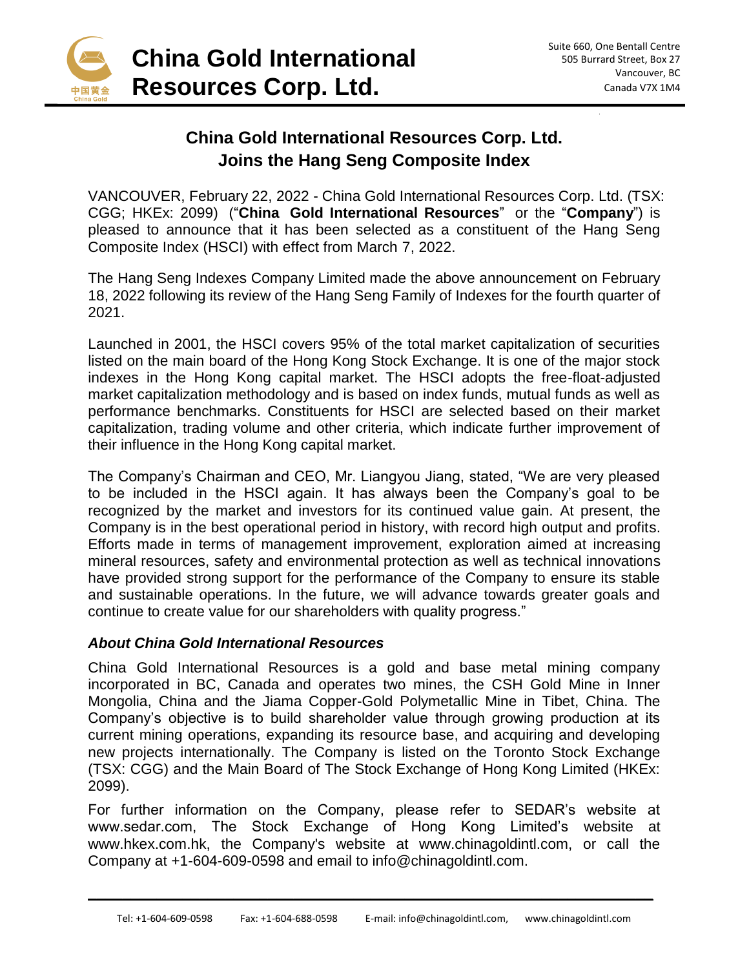

### **China Gold International Resources Corp. Ltd. Joins the Hang Seng Composite Index**

VANCOUVER, February 22, 2022 - China Gold International Resources Corp. Ltd. (TSX: CGG; HKEx: 2099) ("**China Gold International Resources**" or the "**Company**") is pleased to announce that it has been selected as a constituent of the Hang Seng Composite Index (HSCI) with effect from March 7, 2022.

The Hang Seng Indexes Company Limited made the above announcement on February 18, 2022 following its review of the Hang Seng Family of Indexes for the fourth quarter of 2021.

Launched in 2001, the HSCI covers 95% of the total market capitalization of securities listed on the main board of the Hong Kong Stock Exchange. It is one of the major stock indexes in the Hong Kong capital market. The HSCI adopts the free-float-adjusted market capitalization methodology and is based on index funds, mutual funds as well as performance benchmarks. Constituents for HSCI are selected based on their market capitalization, trading volume and other criteria, which indicate further improvement of their influence in the Hong Kong capital market.

The Company's Chairman and CEO, Mr. Liangyou Jiang, stated, "We are very pleased to be included in the HSCI again. It has always been the Company's goal to be recognized by the market and investors for its continued value gain. At present, the Company is in the best operational period in history, with record high output and profits. Efforts made in terms of management improvement, exploration aimed at increasing mineral resources, safety and environmental protection as well as technical innovations have provided strong support for the performance of the Company to ensure its stable and sustainable operations. In the future, we will advance towards greater goals and continue to create value for our shareholders with quality progress."

#### *About China Gold International Resources*

China Gold International Resources is a gold and base metal mining company incorporated in BC, Canada and operates two mines, the CSH Gold Mine in Inner Mongolia, China and the Jiama Copper-Gold Polymetallic Mine in Tibet, China. The Company's objective is to build shareholder value through growing production at its current mining operations, expanding its resource base, and acquiring and developing new projects internationally. The Company is listed on the Toronto Stock Exchange (TSX: CGG) and the Main Board of The Stock Exchange of Hong Kong Limited (HKEx: 2099).

For further information on the Company, please refer to SEDAR's website at www.sedar.com, The Stock Exchange of Hong Kong Limited's website at www.hkex.com.hk, the Company's website at www.chinagoldintl.com, or call the Company at +1-604-609-0598 and email to info@chinagoldintl.com.

 $\overline{\phantom{a}}$  , and the contribution of the contribution of the contribution of the contribution of the contribution of the contribution of the contribution of the contribution of the contribution of the contribution of the